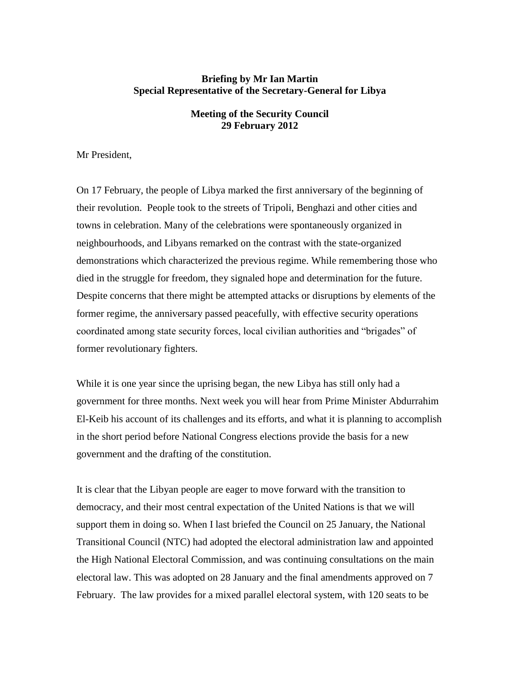# **Briefing by Mr Ian Martin Special Representative of the Secretary-General for Libya**

# **Meeting of the Security Council 29 February 2012**

Mr President,

On 17 February, the people of Libya marked the first anniversary of the beginning of their revolution. People took to the streets of Tripoli, Benghazi and other cities and towns in celebration. Many of the celebrations were spontaneously organized in neighbourhoods, and Libyans remarked on the contrast with the state-organized demonstrations which characterized the previous regime. While remembering those who died in the struggle for freedom, they signaled hope and determination for the future. Despite concerns that there might be attempted attacks or disruptions by elements of the former regime, the anniversary passed peacefully, with effective security operations coordinated among state security forces, local civilian authorities and "brigades" of former revolutionary fighters.

While it is one year since the uprising began, the new Libya has still only had a government for three months. Next week you will hear from Prime Minister Abdurrahim El-Keib his account of its challenges and its efforts, and what it is planning to accomplish in the short period before National Congress elections provide the basis for a new government and the drafting of the constitution.

It is clear that the Libyan people are eager to move forward with the transition to democracy, and their most central expectation of the United Nations is that we will support them in doing so. When I last briefed the Council on 25 January, the National Transitional Council (NTC) had adopted the electoral administration law and appointed the High National Electoral Commission, and was continuing consultations on the main electoral law. This was adopted on 28 January and the final amendments approved on 7 February. The law provides for a mixed parallel electoral system, with 120 seats to be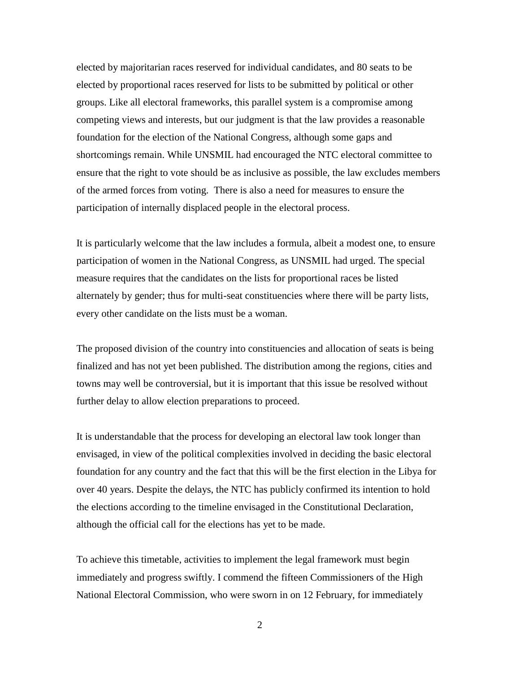elected by majoritarian races reserved for individual candidates, and 80 seats to be elected by proportional races reserved for lists to be submitted by political or other groups. Like all electoral frameworks, this parallel system is a compromise among competing views and interests, but our judgment is that the law provides a reasonable foundation for the election of the National Congress, although some gaps and shortcomings remain. While UNSMIL had encouraged the NTC electoral committee to ensure that the right to vote should be as inclusive as possible, the law excludes members of the armed forces from voting. There is also a need for measures to ensure the participation of internally displaced people in the electoral process.

It is particularly welcome that the law includes a formula, albeit a modest one, to ensure participation of women in the National Congress, as UNSMIL had urged. The special measure requires that the candidates on the lists for proportional races be listed alternately by gender; thus for multi-seat constituencies where there will be party lists, every other candidate on the lists must be a woman.

The proposed division of the country into constituencies and allocation of seats is being finalized and has not yet been published. The distribution among the regions, cities and towns may well be controversial, but it is important that this issue be resolved without further delay to allow election preparations to proceed.

It is understandable that the process for developing an electoral law took longer than envisaged, in view of the political complexities involved in deciding the basic electoral foundation for any country and the fact that this will be the first election in the Libya for over 40 years. Despite the delays, the NTC has publicly confirmed its intention to hold the elections according to the timeline envisaged in the Constitutional Declaration, although the official call for the elections has yet to be made.

To achieve this timetable, activities to implement the legal framework must begin immediately and progress swiftly. I commend the fifteen Commissioners of the High National Electoral Commission, who were sworn in on 12 February, for immediately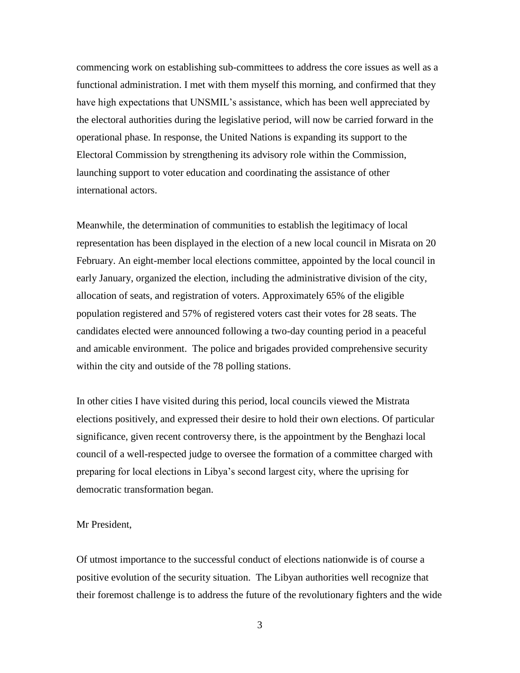commencing work on establishing sub-committees to address the core issues as well as a functional administration. I met with them myself this morning, and confirmed that they have high expectations that UNSMIL's assistance, which has been well appreciated by the electoral authorities during the legislative period, will now be carried forward in the operational phase. In response, the United Nations is expanding its support to the Electoral Commission by strengthening its advisory role within the Commission, launching support to voter education and coordinating the assistance of other international actors.

Meanwhile, the determination of communities to establish the legitimacy of local representation has been displayed in the election of a new local council in Misrata on 20 February. An eight-member local elections committee, appointed by the local council in early January, organized the election, including the administrative division of the city, allocation of seats, and registration of voters. Approximately 65% of the eligible population registered and 57% of registered voters cast their votes for 28 seats. The candidates elected were announced following a two-day counting period in a peaceful and amicable environment. The police and brigades provided comprehensive security within the city and outside of the 78 polling stations.

In other cities I have visited during this period, local councils viewed the Mistrata elections positively, and expressed their desire to hold their own elections. Of particular significance, given recent controversy there, is the appointment by the Benghazi local council of a well-respected judge to oversee the formation of a committee charged with preparing for local elections in Libya's second largest city, where the uprising for democratic transformation began.

### Mr President,

Of utmost importance to the successful conduct of elections nationwide is of course a positive evolution of the security situation. The Libyan authorities well recognize that their foremost challenge is to address the future of the revolutionary fighters and the wide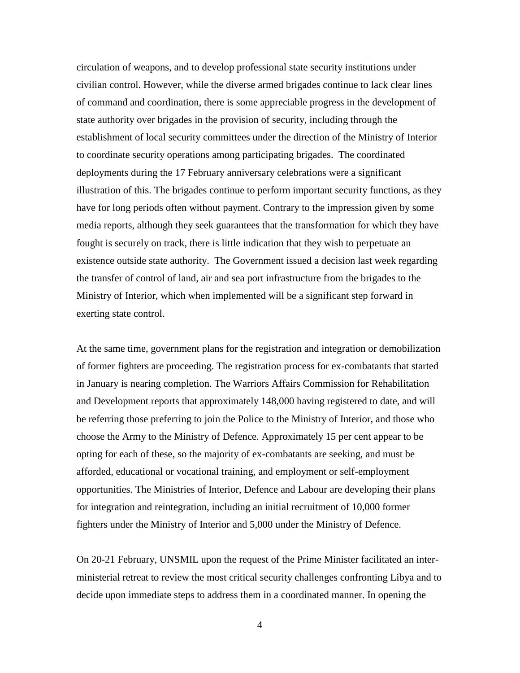circulation of weapons, and to develop professional state security institutions under civilian control. However, while the diverse armed brigades continue to lack clear lines of command and coordination, there is some appreciable progress in the development of state authority over brigades in the provision of security, including through the establishment of local security committees under the direction of the Ministry of Interior to coordinate security operations among participating brigades. The coordinated deployments during the 17 February anniversary celebrations were a significant illustration of this. The brigades continue to perform important security functions, as they have for long periods often without payment. Contrary to the impression given by some media reports, although they seek guarantees that the transformation for which they have fought is securely on track, there is little indication that they wish to perpetuate an existence outside state authority. The Government issued a decision last week regarding the transfer of control of land, air and sea port infrastructure from the brigades to the Ministry of Interior, which when implemented will be a significant step forward in exerting state control.

At the same time, government plans for the registration and integration or demobilization of former fighters are proceeding. The registration process for ex-combatants that started in January is nearing completion. The Warriors Affairs Commission for Rehabilitation and Development reports that approximately 148,000 having registered to date, and will be referring those preferring to join the Police to the Ministry of Interior, and those who choose the Army to the Ministry of Defence. Approximately 15 per cent appear to be opting for each of these, so the majority of ex-combatants are seeking, and must be afforded, educational or vocational training, and employment or self-employment opportunities. The Ministries of Interior, Defence and Labour are developing their plans for integration and reintegration, including an initial recruitment of 10,000 former fighters under the Ministry of Interior and 5,000 under the Ministry of Defence.

On 20-21 February, UNSMIL upon the request of the Prime Minister facilitated an interministerial retreat to review the most critical security challenges confronting Libya and to decide upon immediate steps to address them in a coordinated manner. In opening the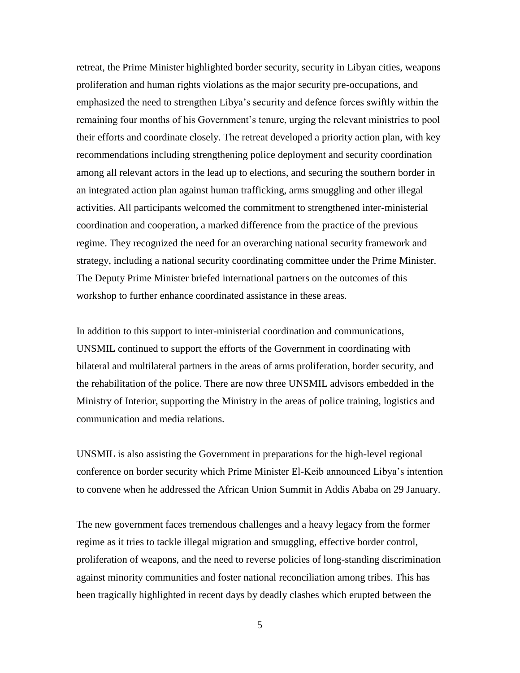retreat, the Prime Minister highlighted border security, security in Libyan cities, weapons proliferation and human rights violations as the major security pre-occupations, and emphasized the need to strengthen Libya's security and defence forces swiftly within the remaining four months of his Government's tenure, urging the relevant ministries to pool their efforts and coordinate closely. The retreat developed a priority action plan, with key recommendations including strengthening police deployment and security coordination among all relevant actors in the lead up to elections, and securing the southern border in an integrated action plan against human trafficking, arms smuggling and other illegal activities. All participants welcomed the commitment to strengthened inter-ministerial coordination and cooperation, a marked difference from the practice of the previous regime. They recognized the need for an overarching national security framework and strategy, including a national security coordinating committee under the Prime Minister. The Deputy Prime Minister briefed international partners on the outcomes of this workshop to further enhance coordinated assistance in these areas.

In addition to this support to inter-ministerial coordination and communications, UNSMIL continued to support the efforts of the Government in coordinating with bilateral and multilateral partners in the areas of arms proliferation, border security, and the rehabilitation of the police. There are now three UNSMIL advisors embedded in the Ministry of Interior, supporting the Ministry in the areas of police training, logistics and communication and media relations.

UNSMIL is also assisting the Government in preparations for the high-level regional conference on border security which Prime Minister El-Keib announced Libya's intention to convene when he addressed the African Union Summit in Addis Ababa on 29 January.

The new government faces tremendous challenges and a heavy legacy from the former regime as it tries to tackle illegal migration and smuggling, effective border control, proliferation of weapons, and the need to reverse policies of long-standing discrimination against minority communities and foster national reconciliation among tribes. This has been tragically highlighted in recent days by deadly clashes which erupted between the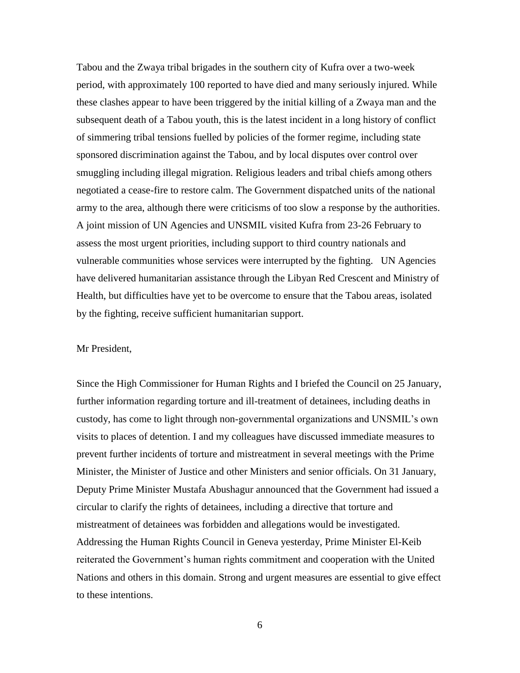Tabou and the Zwaya tribal brigades in the southern city of Kufra over a two-week period, with approximately 100 reported to have died and many seriously injured. While these clashes appear to have been triggered by the initial killing of a Zwaya man and the subsequent death of a Tabou youth, this is the latest incident in a long history of conflict of simmering tribal tensions fuelled by policies of the former regime, including state sponsored discrimination against the Tabou, and by local disputes over control over smuggling including illegal migration. Religious leaders and tribal chiefs among others negotiated a cease-fire to restore calm. The Government dispatched units of the national army to the area, although there were criticisms of too slow a response by the authorities. A joint mission of UN Agencies and UNSMIL visited Kufra from 23-26 February to assess the most urgent priorities, including support to third country nationals and vulnerable communities whose services were interrupted by the fighting. UN Agencies have delivered humanitarian assistance through the Libyan Red Crescent and Ministry of Health, but difficulties have yet to be overcome to ensure that the Tabou areas, isolated by the fighting, receive sufficient humanitarian support.

### Mr President,

Since the High Commissioner for Human Rights and I briefed the Council on 25 January, further information regarding torture and ill-treatment of detainees, including deaths in custody, has come to light through non-governmental organizations and UNSMIL's own visits to places of detention. I and my colleagues have discussed immediate measures to prevent further incidents of torture and mistreatment in several meetings with the Prime Minister, the Minister of Justice and other Ministers and senior officials. On 31 January, Deputy Prime Minister Mustafa Abushagur announced that the Government had issued a circular to clarify the rights of detainees, including a directive that torture and mistreatment of detainees was forbidden and allegations would be investigated. Addressing the Human Rights Council in Geneva yesterday, Prime Minister El-Keib reiterated the Government's human rights commitment and cooperation with the United Nations and others in this domain. Strong and urgent measures are essential to give effect to these intentions.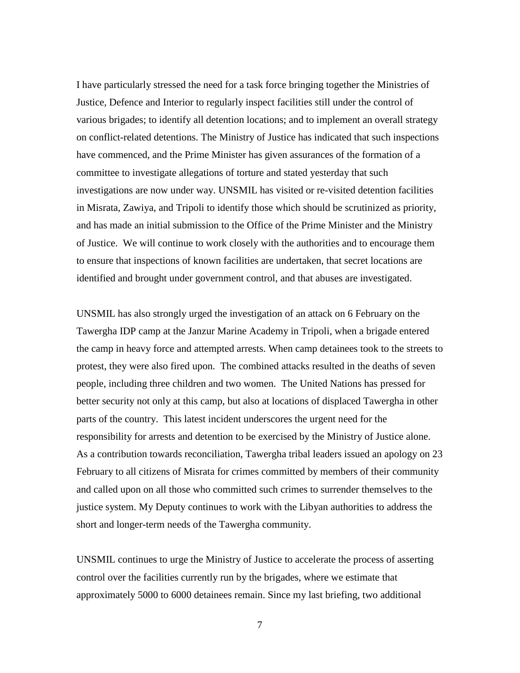I have particularly stressed the need for a task force bringing together the Ministries of Justice, Defence and Interior to regularly inspect facilities still under the control of various brigades; to identify all detention locations; and to implement an overall strategy on conflict-related detentions. The Ministry of Justice has indicated that such inspections have commenced, and the Prime Minister has given assurances of the formation of a committee to investigate allegations of torture and stated yesterday that such investigations are now under way. UNSMIL has visited or re-visited detention facilities in Misrata, Zawiya, and Tripoli to identify those which should be scrutinized as priority, and has made an initial submission to the Office of the Prime Minister and the Ministry of Justice. We will continue to work closely with the authorities and to encourage them to ensure that inspections of known facilities are undertaken, that secret locations are identified and brought under government control, and that abuses are investigated.

UNSMIL has also strongly urged the investigation of an attack on 6 February on the Tawergha IDP camp at the Janzur Marine Academy in Tripoli, when a brigade entered the camp in heavy force and attempted arrests. When camp detainees took to the streets to protest, they were also fired upon. The combined attacks resulted in the deaths of seven people, including three children and two women. The United Nations has pressed for better security not only at this camp, but also at locations of displaced Tawergha in other parts of the country. This latest incident underscores the urgent need for the responsibility for arrests and detention to be exercised by the Ministry of Justice alone. As a contribution towards reconciliation, Tawergha tribal leaders issued an apology on 23 February to all citizens of Misrata for crimes committed by members of their community and called upon on all those who committed such crimes to surrender themselves to the justice system. My Deputy continues to work with the Libyan authorities to address the short and longer-term needs of the Tawergha community.

UNSMIL continues to urge the Ministry of Justice to accelerate the process of asserting control over the facilities currently run by the brigades, where we estimate that approximately 5000 to 6000 detainees remain. Since my last briefing, two additional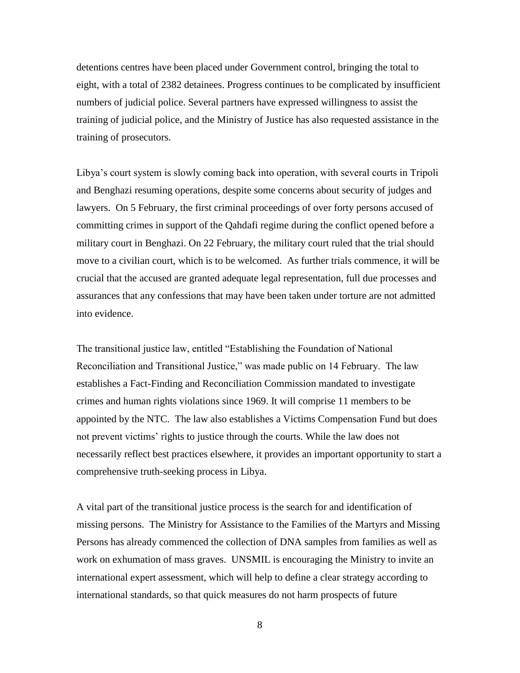detentions centres have been placed under Government control, bringing the total to eight, with a total of 2382 detainees. Progress continues to be complicated by insufficient numbers of judicial police. Several partners have expressed willingness to assist the training of judicial police, and the Ministry of Justice has also requested assistance in the training of prosecutors.

Libya's court system is slowly coming back into operation, with several courts in Tripoli and Benghazi resuming operations, despite some concerns about security of judges and lawyers. On 5 February, the first criminal proceedings of over forty persons accused of committing crimes in support of the Qahdafi regime during the conflict opened before a military court in Benghazi. On 22 February, the military court ruled that the trial should move to a civilian court, which is to be welcomed. As further trials commence, it will be crucial that the accused are granted adequate legal representation, full due processes and assurances that any confessions that may have been taken under torture are not admitted into evidence.

The transitional justice law, entitled "Establishing the Foundation of National Reconciliation and Transitional Justice," was made public on 14 February. The law establishes a Fact-Finding and Reconciliation Commission mandated to investigate crimes and human rights violations since 1969. It will comprise 11 members to be appointed by the NTC. The law also establishes a Victims Compensation Fund but does not prevent victims' rights to justice through the courts. While the law does not necessarily reflect best practices elsewhere, it provides an important opportunity to start a comprehensive truth-seeking process in Libya.

A vital part of the transitional justice process is the search for and identification of missing persons. The Ministry for Assistance to the Families of the Martyrs and Missing Persons has already commenced the collection of DNA samples from families as well as work on exhumation of mass graves. UNSMIL is encouraging the Ministry to invite an international expert assessment, which will help to define a clear strategy according to international standards, so that quick measures do not harm prospects of future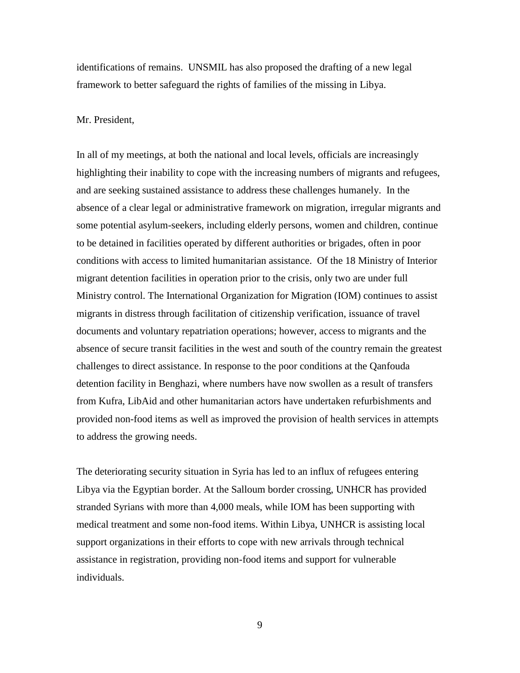identifications of remains. UNSMIL has also proposed the drafting of a new legal framework to better safeguard the rights of families of the missing in Libya.

## Mr. President,

In all of my meetings, at both the national and local levels, officials are increasingly highlighting their inability to cope with the increasing numbers of migrants and refugees, and are seeking sustained assistance to address these challenges humanely. In the absence of a clear legal or administrative framework on migration, irregular migrants and some potential asylum-seekers, including elderly persons, women and children, continue to be detained in facilities operated by different authorities or brigades, often in poor conditions with access to limited humanitarian assistance. Of the 18 Ministry of Interior migrant detention facilities in operation prior to the crisis, only two are under full Ministry control. The International Organization for Migration (IOM) continues to assist migrants in distress through facilitation of citizenship verification, issuance of travel documents and voluntary repatriation operations; however, access to migrants and the absence of secure transit facilities in the west and south of the country remain the greatest challenges to direct assistance. In response to the poor conditions at the Qanfouda detention facility in Benghazi, where numbers have now swollen as a result of transfers from Kufra, LibAid and other humanitarian actors have undertaken refurbishments and provided non-food items as well as improved the provision of health services in attempts to address the growing needs.

The deteriorating security situation in Syria has led to an influx of refugees entering Libya via the Egyptian border. At the Salloum border crossing, UNHCR has provided stranded Syrians with more than 4,000 meals, while IOM has been supporting with medical treatment and some non-food items. Within Libya, UNHCR is assisting local support organizations in their efforts to cope with new arrivals through technical assistance in registration, providing non-food items and support for vulnerable individuals.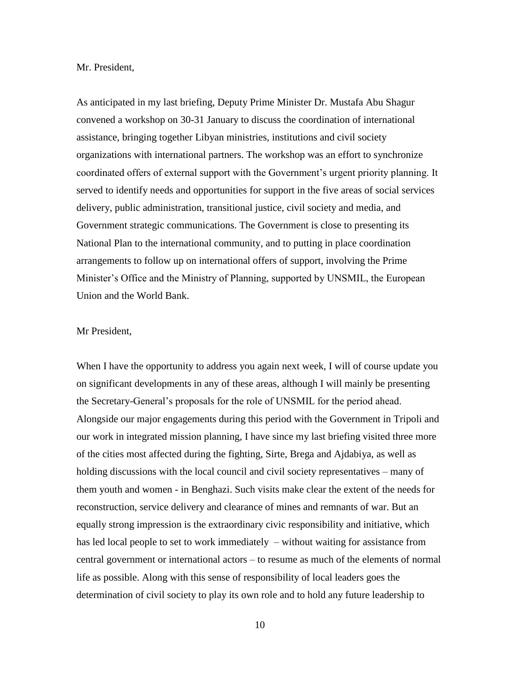#### Mr. President,

As anticipated in my last briefing, Deputy Prime Minister Dr. Mustafa Abu Shagur convened a workshop on 30-31 January to discuss the coordination of international assistance, bringing together Libyan ministries, institutions and civil society organizations with international partners. The workshop was an effort to synchronize coordinated offers of external support with the Government's urgent priority planning. It served to identify needs and opportunities for support in the five areas of social services delivery, public administration, transitional justice, civil society and media, and Government strategic communications. The Government is close to presenting its National Plan to the international community, and to putting in place coordination arrangements to follow up on international offers of support, involving the Prime Minister's Office and the Ministry of Planning, supported by UNSMIL, the European Union and the World Bank.

### Mr President,

When I have the opportunity to address you again next week, I will of course update you on significant developments in any of these areas, although I will mainly be presenting the Secretary-General's proposals for the role of UNSMIL for the period ahead. Alongside our major engagements during this period with the Government in Tripoli and our work in integrated mission planning, I have since my last briefing visited three more of the cities most affected during the fighting, Sirte, Brega and Ajdabiya, as well as holding discussions with the local council and civil society representatives – many of them youth and women - in Benghazi. Such visits make clear the extent of the needs for reconstruction, service delivery and clearance of mines and remnants of war. But an equally strong impression is the extraordinary civic responsibility and initiative, which has led local people to set to work immediately – without waiting for assistance from central government or international actors – to resume as much of the elements of normal life as possible. Along with this sense of responsibility of local leaders goes the determination of civil society to play its own role and to hold any future leadership to